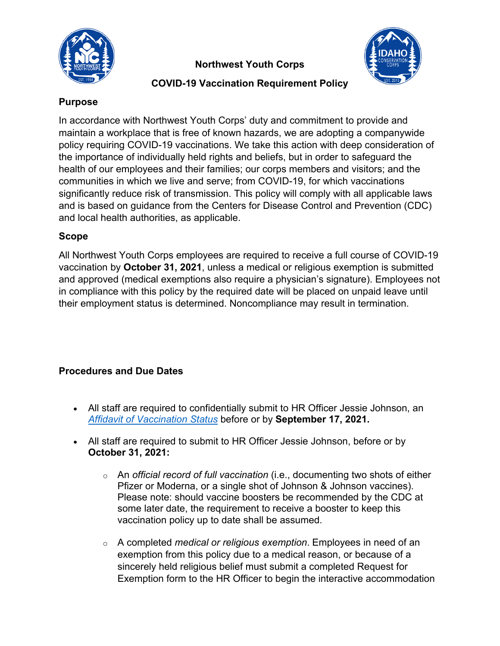

**Northwest Youth Corps** 



## **COVID-19 Vaccination Requirement Policy**

### **Purpose**

In accordance with Northwest Youth Corps' duty and commitment to provide and maintain a workplace that is free of known hazards, we are adopting a companywide policy requiring COVID-19 vaccinations. We take this action with deep consideration of the importance of individually held rights and beliefs, but in order to safeguard the health of our employees and their families; our corps members and visitors; and the communities in which we live and serve; from COVID-19, for which vaccinations significantly reduce risk of transmission. This policy will comply with all applicable laws and is based on guidance from the Centers for Disease Control and Prevention (CDC) and local health authorities, as applicable.

### **Scope**

All Northwest Youth Corps employees are required to receive a full course of COVID-19 vaccination by **October 31, 2021**, unless a medical or religious exemption is submitted and approved (medical exemptions also require a physician's signature). Employees not in compliance with this policy by the required date will be placed on unpaid leave until their employment status is determined. Noncompliance may result in termination.

# **Procedures and Due Dates**

- All staff are required to confidentially submit to HR Officer Jessie Johnson, an *[Affidavit of Vaccination Status](https://nwyouthcorps.org/pdf/covid/Affidavit%20of%20Vaccination%20Status%20final.pdf)* before or by **September 17, 2021.**
- All staff are required to submit to HR Officer Jessie Johnson, before or by **October 31, 2021:**
	- o An *official record of full vaccination* (i.e., documenting two shots of either Pfizer or Moderna, or a single shot of Johnson & Johnson vaccines). Please note: should vaccine boosters be recommended by the CDC at some later date, the requirement to receive a booster to keep this vaccination policy up to date shall be assumed.
	- o A completed *medical or religious exemption*. Employees in need of an exemption from this policy due to a medical reason, or because of a sincerely held religious belief must submit a completed Request for Exemption form to the HR Officer to begin the interactive accommodation